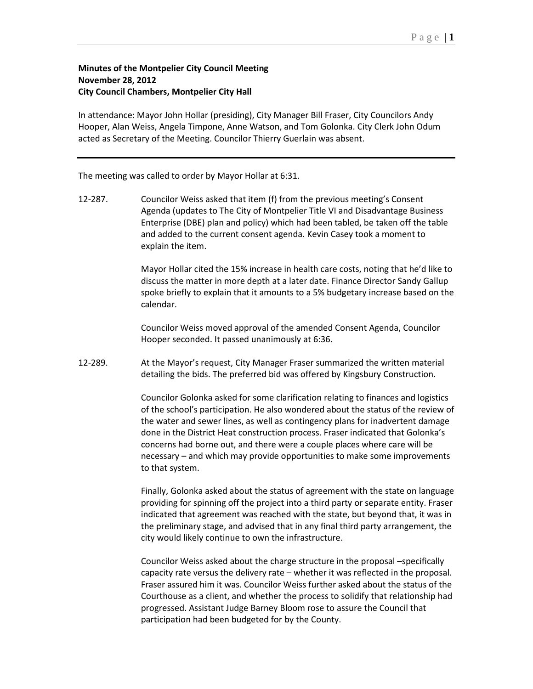## **Minutes of the Montpelier City Council Meeting November 28, 2012 City Council Chambers, Montpelier City Hall**

In attendance: Mayor John Hollar (presiding), City Manager Bill Fraser, City Councilors Andy Hooper, Alan Weiss, Angela Timpone, Anne Watson, and Tom Golonka. City Clerk John Odum acted as Secretary of the Meeting. Councilor Thierry Guerlain was absent.

The meeting was called to order by Mayor Hollar at 6:31.

12-287. Councilor Weiss asked that item (f) from the previous meeting's Consent Agenda (updates to The City of Montpelier Title VI and Disadvantage Business Enterprise (DBE) plan and policy) which had been tabled, be taken off the table and added to the current consent agenda. Kevin Casey took a moment to explain the item.

> Mayor Hollar cited the 15% increase in health care costs, noting that he'd like to discuss the matter in more depth at a later date. Finance Director Sandy Gallup spoke briefly to explain that it amounts to a 5% budgetary increase based on the calendar.

Councilor Weiss moved approval of the amended Consent Agenda, Councilor Hooper seconded. It passed unanimously at 6:36.

12-289. At the Mayor's request, City Manager Fraser summarized the written material detailing the bids. The preferred bid was offered by Kingsbury Construction.

> Councilor Golonka asked for some clarification relating to finances and logistics of the school's participation. He also wondered about the status of the review of the water and sewer lines, as well as contingency plans for inadvertent damage done in the District Heat construction process. Fraser indicated that Golonka's concerns had borne out, and there were a couple places where care will be necessary – and which may provide opportunities to make some improvements to that system.

> Finally, Golonka asked about the status of agreement with the state on language providing for spinning off the project into a third party or separate entity. Fraser indicated that agreement was reached with the state, but beyond that, it was in the preliminary stage, and advised that in any final third party arrangement, the city would likely continue to own the infrastructure.

> Councilor Weiss asked about the charge structure in the proposal –specifically capacity rate versus the delivery rate – whether it was reflected in the proposal. Fraser assured him it was. Councilor Weiss further asked about the status of the Courthouse as a client, and whether the process to solidify that relationship had progressed. Assistant Judge Barney Bloom rose to assure the Council that participation had been budgeted for by the County.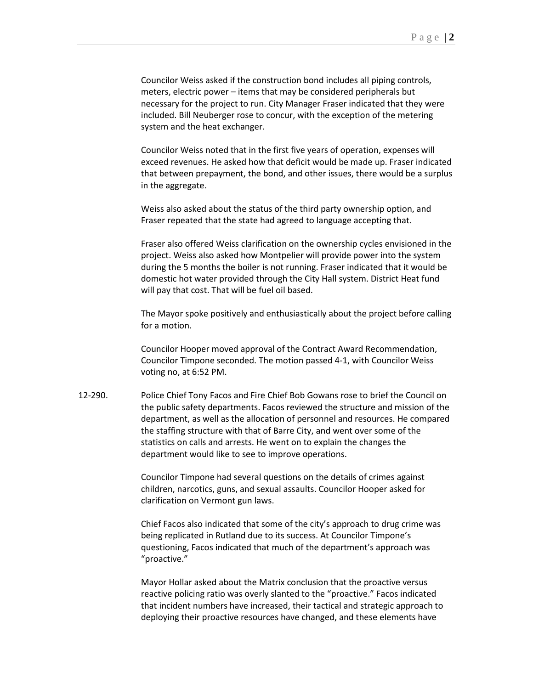Councilor Weiss asked if the construction bond includes all piping controls, meters, electric power – items that may be considered peripherals but necessary for the project to run. City Manager Fraser indicated that they were included. Bill Neuberger rose to concur, with the exception of the metering system and the heat exchanger.

Councilor Weiss noted that in the first five years of operation, expenses will exceed revenues. He asked how that deficit would be made up. Fraser indicated that between prepayment, the bond, and other issues, there would be a surplus in the aggregate.

Weiss also asked about the status of the third party ownership option, and Fraser repeated that the state had agreed to language accepting that.

Fraser also offered Weiss clarification on the ownership cycles envisioned in the project. Weiss also asked how Montpelier will provide power into the system during the 5 months the boiler is not running. Fraser indicated that it would be domestic hot water provided through the City Hall system. District Heat fund will pay that cost. That will be fuel oil based.

The Mayor spoke positively and enthusiastically about the project before calling for a motion.

Councilor Hooper moved approval of the Contract Award Recommendation, Councilor Timpone seconded. The motion passed 4-1, with Councilor Weiss voting no, at 6:52 PM.

12-290. Police Chief Tony Facos and Fire Chief Bob Gowans rose to brief the Council on the public safety departments. Facos reviewed the structure and mission of the department, as well as the allocation of personnel and resources. He compared the staffing structure with that of Barre City, and went over some of the statistics on calls and arrests. He went on to explain the changes the department would like to see to improve operations.

> Councilor Timpone had several questions on the details of crimes against children, narcotics, guns, and sexual assaults. Councilor Hooper asked for clarification on Vermont gun laws.

Chief Facos also indicated that some of the city's approach to drug crime was being replicated in Rutland due to its success. At Councilor Timpone's questioning, Facos indicated that much of the department's approach was "proactive."

Mayor Hollar asked about the Matrix conclusion that the proactive versus reactive policing ratio was overly slanted to the "proactive." Facos indicated that incident numbers have increased, their tactical and strategic approach to deploying their proactive resources have changed, and these elements have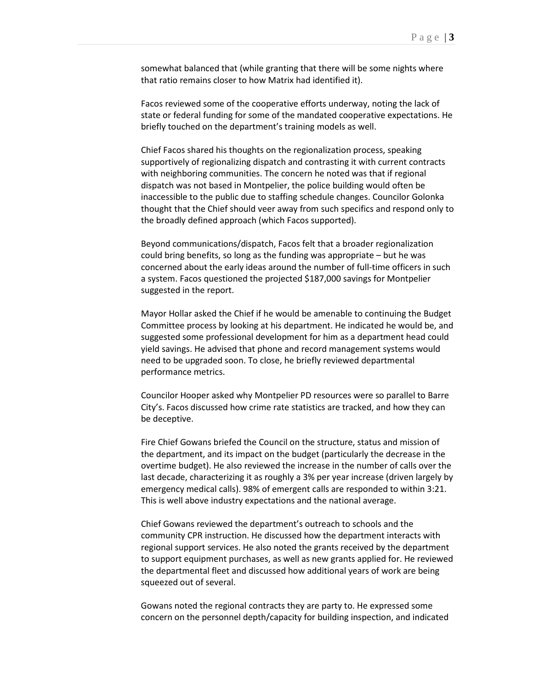somewhat balanced that (while granting that there will be some nights where that ratio remains closer to how Matrix had identified it).

Facos reviewed some of the cooperative efforts underway, noting the lack of state or federal funding for some of the mandated cooperative expectations. He briefly touched on the department's training models as well.

Chief Facos shared his thoughts on the regionalization process, speaking supportively of regionalizing dispatch and contrasting it with current contracts with neighboring communities. The concern he noted was that if regional dispatch was not based in Montpelier, the police building would often be inaccessible to the public due to staffing schedule changes. Councilor Golonka thought that the Chief should veer away from such specifics and respond only to the broadly defined approach (which Facos supported).

Beyond communications/dispatch, Facos felt that a broader regionalization could bring benefits, so long as the funding was appropriate – but he was concerned about the early ideas around the number of full-time officers in such a system. Facos questioned the projected \$187,000 savings for Montpelier suggested in the report.

Mayor Hollar asked the Chief if he would be amenable to continuing the Budget Committee process by looking at his department. He indicated he would be, and suggested some professional development for him as a department head could yield savings. He advised that phone and record management systems would need to be upgraded soon. To close, he briefly reviewed departmental performance metrics.

Councilor Hooper asked why Montpelier PD resources were so parallel to Barre City's. Facos discussed how crime rate statistics are tracked, and how they can be deceptive.

Fire Chief Gowans briefed the Council on the structure, status and mission of the department, and its impact on the budget (particularly the decrease in the overtime budget). He also reviewed the increase in the number of calls over the last decade, characterizing it as roughly a 3% per year increase (driven largely by emergency medical calls). 98% of emergent calls are responded to within 3:21. This is well above industry expectations and the national average.

Chief Gowans reviewed the department's outreach to schools and the community CPR instruction. He discussed how the department interacts with regional support services. He also noted the grants received by the department to support equipment purchases, as well as new grants applied for. He reviewed the departmental fleet and discussed how additional years of work are being squeezed out of several.

Gowans noted the regional contracts they are party to. He expressed some concern on the personnel depth/capacity for building inspection, and indicated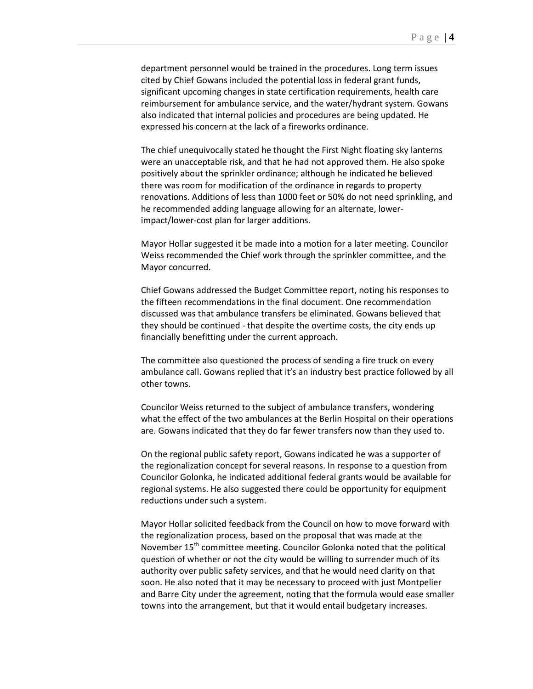department personnel would be trained in the procedures. Long term issues cited by Chief Gowans included the potential loss in federal grant funds, significant upcoming changes in state certification requirements, health care reimbursement for ambulance service, and the water/hydrant system. Gowans also indicated that internal policies and procedures are being updated. He expressed his concern at the lack of a fireworks ordinance.

The chief unequivocally stated he thought the First Night floating sky lanterns were an unacceptable risk, and that he had not approved them. He also spoke positively about the sprinkler ordinance; although he indicated he believed there was room for modification of the ordinance in regards to property renovations. Additions of less than 1000 feet or 50% do not need sprinkling, and he recommended adding language allowing for an alternate, lowerimpact/lower-cost plan for larger additions.

Mayor Hollar suggested it be made into a motion for a later meeting. Councilor Weiss recommended the Chief work through the sprinkler committee, and the Mayor concurred.

Chief Gowans addressed the Budget Committee report, noting his responses to the fifteen recommendations in the final document. One recommendation discussed was that ambulance transfers be eliminated. Gowans believed that they should be continued - that despite the overtime costs, the city ends up financially benefitting under the current approach.

The committee also questioned the process of sending a fire truck on every ambulance call. Gowans replied that it's an industry best practice followed by all other towns.

Councilor Weiss returned to the subject of ambulance transfers, wondering what the effect of the two ambulances at the Berlin Hospital on their operations are. Gowans indicated that they do far fewer transfers now than they used to.

On the regional public safety report, Gowans indicated he was a supporter of the regionalization concept for several reasons. In response to a question from Councilor Golonka, he indicated additional federal grants would be available for regional systems. He also suggested there could be opportunity for equipment reductions under such a system.

Mayor Hollar solicited feedback from the Council on how to move forward with the regionalization process, based on the proposal that was made at the November 15<sup>th</sup> committee meeting. Councilor Golonka noted that the political question of whether or not the city would be willing to surrender much of its authority over public safety services, and that he would need clarity on that soon. He also noted that it may be necessary to proceed with just Montpelier and Barre City under the agreement, noting that the formula would ease smaller towns into the arrangement, but that it would entail budgetary increases.